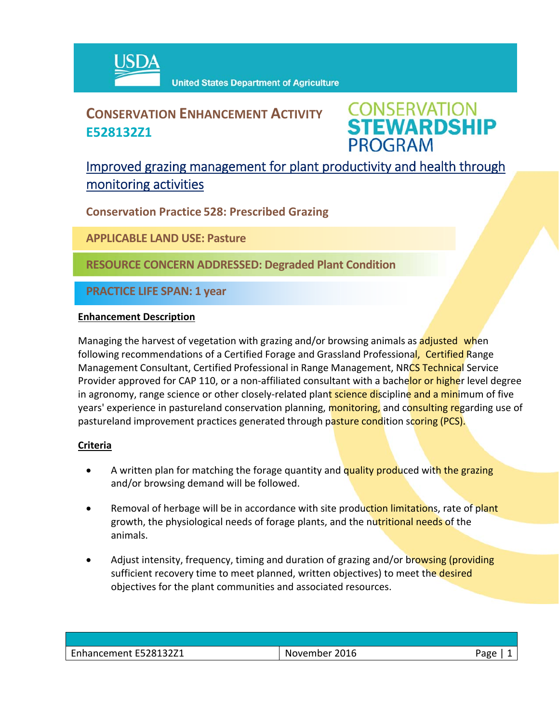

## **CONSERVATION ENHANCEMENT ACTIVITY E528132Z1**



### Improved grazing management for plant productivity and health through monitoring activities

**Conservation Practice 528: Prescribed Grazing**

**APPLICABLE LAND USE: Pasture**

**RESOURCE CONCERN ADDRESSED: Degraded Plant Condition**

**PRACTICE LIFE SPAN: 1 year**

#### **Enhancement Description**

Managing the harvest of vegetation with grazing and/or browsing animals as adjusted when following recommendations of a Certified Forage and Grassland Professional, Certified Range Management Consultant, Certified Professional in Range Management, NRCS Technical Service Provider approved for CAP 110, or a non-affiliated consultant with a bachelor or higher level degree in agronomy, range science or other closely-related plant science discipline and a minimum of five years' experience in pastureland conservation planning, monitoring, and consulting regarding use of pastureland improvement practices generated through pasture condition scoring (PCS).

#### **Criteria**

- A written plan for matching the forage quantity and quality produced with the grazing and/or browsing demand will be followed.
- Removal of herbage will be in accordance with site production limitations, rate of plant growth, the physiological needs of forage plants, and the nutritional needs of the animals.
- Adjust intensity, frequency, timing and duration of grazing and/or browsing (providing sufficient recovery time to meet planned, written objectives) to meet the desired objectives for the plant communities and associated resources.

| Enhancement E528132Z1 | November 2016 | Japo |
|-----------------------|---------------|------|